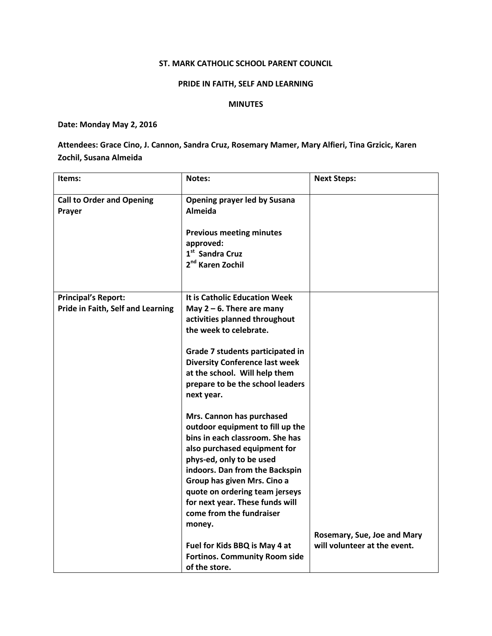### ST. MARK CATHOLIC SCHOOL PARENT COUNCIL

## PRIDE IN FAITH, SELF AND LEARNING

#### MINUTES

## Date: Monday May 2, 2016

# Attendees: Grace Cino, J. Cannon, Sandra Cruz, Rosemary Mamer, Mary Alfieri, Tina Grzicic, Karen Zochil, Susana Almeida

| Items:                                                          | <b>Notes:</b>                                                                                                                                                                                                                                                                                                                                                                                                                                                                                                                                                                                                                                                                                                                  | <b>Next Steps:</b>                                          |
|-----------------------------------------------------------------|--------------------------------------------------------------------------------------------------------------------------------------------------------------------------------------------------------------------------------------------------------------------------------------------------------------------------------------------------------------------------------------------------------------------------------------------------------------------------------------------------------------------------------------------------------------------------------------------------------------------------------------------------------------------------------------------------------------------------------|-------------------------------------------------------------|
| <b>Call to Order and Opening</b><br>Prayer                      | <b>Opening prayer led by Susana</b><br><b>Almeida</b><br><b>Previous meeting minutes</b><br>approved:<br>1 <sup>st</sup> Sandra Cruz<br>2 <sup>nd</sup> Karen Zochil                                                                                                                                                                                                                                                                                                                                                                                                                                                                                                                                                           |                                                             |
| <b>Principal's Report:</b><br>Pride in Faith, Self and Learning | It is Catholic Education Week<br>May $2 - 6$ . There are many<br>activities planned throughout<br>the week to celebrate.<br>Grade 7 students participated in<br><b>Diversity Conference last week</b><br>at the school. Will help them<br>prepare to be the school leaders<br>next year.<br>Mrs. Cannon has purchased<br>outdoor equipment to fill up the<br>bins in each classroom. She has<br>also purchased equipment for<br>phys-ed, only to be used<br>indoors. Dan from the Backspin<br>Group has given Mrs. Cino a<br>quote on ordering team jerseys<br>for next year. These funds will<br>come from the fundraiser<br>money.<br>Fuel for Kids BBQ is May 4 at<br><b>Fortinos. Community Room side</b><br>of the store. | Rosemary, Sue, Joe and Mary<br>will volunteer at the event. |